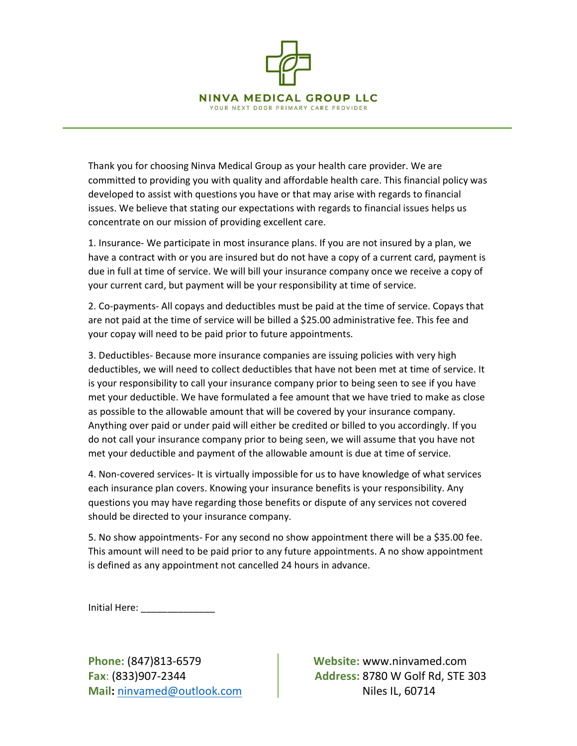

Thank you for choosing Ninva Medical Group as your health care provider. We are committed to providing you with quality and affordable health care. This financial policy was developed to assist with questions you have or that may arise with regards to financial issues. We believe that stating our expectations with regards to financial issues helps us concentrate on our mission of providing excellent care.

1. Insurance- We participate in most insurance plans. If you are not insured by a plan, we have a contract with or you are insured but do not have a copy of a current card, payment is due in full at time of service. We will bill your insurance company once we receive a copy of your current card, but payment will be your responsibility at time of service.

2. Co-payments- All copays and deductibles must be paid at the time of service. Copays that are not paid at the time of service will be billed a \$25.00 administrative fee. This fee and your copay will need to be paid prior to future appointments.

3. Deductibles- Because more insurance companies are issuing policies with very high deductibles, we will need to collect deductibles that have not been met at time of service. It is your responsibility to call your insurance company prior to being seen to see if you have met your deductible. We have formulated a fee amount that we have tried to make as close as possible to the allowable amount that will be covered by your insurance company. Anything over paid or under paid will either be credited or billed to you accordingly. If you do not call your insurance company prior to being seen, we will assume that you have not met your deductible and payment of the allowable amount is due at time of service.

4. Non-covered services- It is virtually impossible for us to have knowledge of what services each insurance plan covers. Knowing your insurance benefits is your responsibility. Any questions you may have regarding those benefits or dispute of any services not covered should be directed to your insurance company.

5. No show appointments- For any second no show appointment there will be a \$35.00 fee. This amount will need to be paid prior to any future appointments. A no show appointment is defined as any appointment not cancelled 24 hours in advance.

Initial Here: \_\_\_\_\_\_\_\_\_\_\_\_\_\_

Mail: ninvamed@outlook.com and all all all all Niles IL, 60714

Phone: (847)813-6579 Website: www.ninvamed.com Fax: (833)907-2344 Address: 8780 W Golf Rd, STE 303